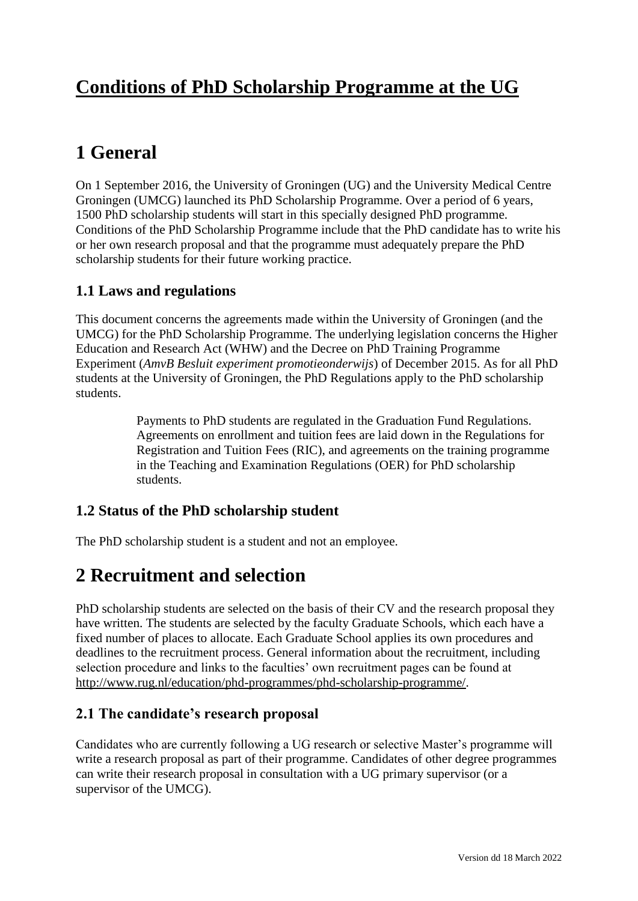# **Conditions of PhD Scholarship Programme at the UG**

# **1 General**

On 1 September 2016, the University of Groningen (UG) and the University Medical Centre Groningen (UMCG) launched its PhD Scholarship Programme. Over a period of 6 years, 1500 PhD scholarship students will start in this specially designed PhD programme. Conditions of the PhD Scholarship Programme include that the PhD candidate has to write his or her own research proposal and that the programme must adequately prepare the PhD scholarship students for their future working practice.

## **1.1 Laws and regulations**

This document concerns the agreements made within the University of Groningen (and the UMCG) for the PhD Scholarship Programme. The underlying legislation concerns the Higher Education and Research Act (WHW) and the Decree on PhD Training Programme Experiment (*AmvB Besluit experiment promotieonderwijs*) of December 2015. As for all PhD students at the University of Groningen, the PhD Regulations apply to the PhD scholarship students.

> Payments to PhD students are regulated in the Graduation Fund Regulations. Agreements on enrollment and tuition fees are laid down in the Regulations for Registration and Tuition Fees (RIC), and agreements on the training programme in the Teaching and Examination Regulations (OER) for PhD scholarship students.

### **1.2 Status of the PhD scholarship student**

The PhD scholarship student is a student and not an employee.

## **2 Recruitment and selection**

PhD scholarship students are selected on the basis of their CV and the research proposal they have written. The students are selected by the faculty Graduate Schools, which each have a fixed number of places to allocate. Each Graduate School applies its own procedures and deadlines to the recruitment process. General information about the recruitment, including selection procedure and links to the faculties' own recruitment pages can be found at [http://www.rug.nl/education/phd-programmes/phd-scholarship-programme/.](http://www.rug.nl/education/phd-programmes/phd-scholarship-programme/)

#### **2.1 The candidate's research proposal**

Candidates who are currently following a UG research or selective Master's programme will write a research proposal as part of their programme. Candidates of other degree programmes can write their research proposal in consultation with a UG primary supervisor (or a supervisor of the UMCG).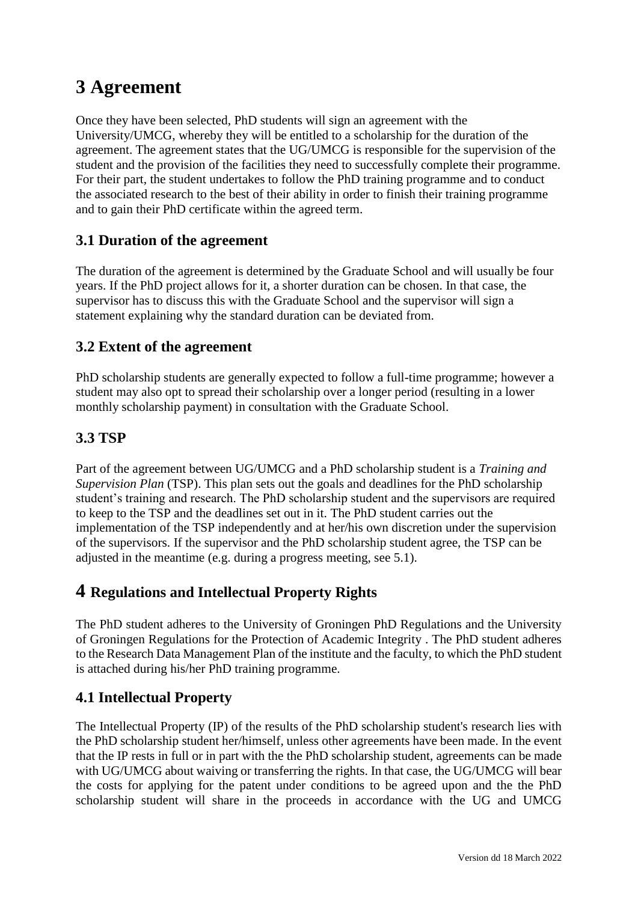# **3 Agreement**

Once they have been selected, PhD students will sign an agreement with the University/UMCG, whereby they will be entitled to a scholarship for the duration of the agreement. The agreement states that the UG/UMCG is responsible for the supervision of the student and the provision of the facilities they need to successfully complete their programme. For their part, the student undertakes to follow the PhD training programme and to conduct the associated research to the best of their ability in order to finish their training programme and to gain their PhD certificate within the agreed term.

### **3.1 Duration of the agreement**

The duration of the agreement is determined by the Graduate School and will usually be four years. If the PhD project allows for it, a shorter duration can be chosen. In that case, the supervisor has to discuss this with the Graduate School and the supervisor will sign a statement explaining why the standard duration can be deviated from.

## **3.2 Extent of the agreement**

PhD scholarship students are generally expected to follow a full-time programme; however a student may also opt to spread their scholarship over a longer period (resulting in a lower monthly scholarship payment) in consultation with the Graduate School.

## **3.3 TSP**

Part of the agreement between UG/UMCG and a PhD scholarship student is a *Training and Supervision Plan* (TSP). This plan sets out the goals and deadlines for the PhD scholarship student's training and research. The PhD scholarship student and the supervisors are required to keep to the TSP and the deadlines set out in it. The PhD student carries out the implementation of the TSP independently and at her/his own discretion under the supervision of the supervisors. If the supervisor and the PhD scholarship student agree, the TSP can be adjusted in the meantime (e.g. during a progress meeting, see 5.1).

## **4 Regulations and Intellectual Property Rights**

The PhD student adheres to the University of Groningen PhD Regulations and the University of Groningen Regulations for the Protection of Academic Integrity . The PhD student adheres to the Research Data Management Plan of the institute and the faculty, to which the PhD student is attached during his/her PhD training programme.

### **4.1 Intellectual Property**

The Intellectual Property (IP) of the results of the PhD scholarship student's research lies with the PhD scholarship student her/himself, unless other agreements have been made. In the event that the IP rests in full or in part with the the PhD scholarship student, agreements can be made with UG/UMCG about waiving or transferring the rights. In that case, the UG/UMCG will bear the costs for applying for the patent under conditions to be agreed upon and the the PhD scholarship student will share in the proceeds in accordance with the UG and UMCG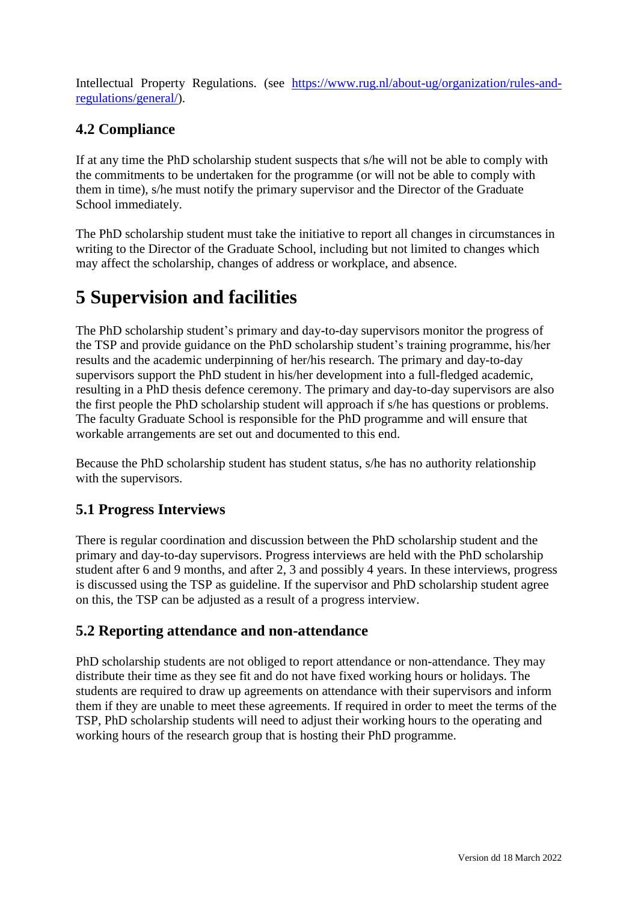Intellectual Property Regulations. (see [https://www.rug.nl/about-ug/organization/rules-and](https://www.rug.nl/about-ug/organization/rules-and-regulations/general/)[regulations/general/\)](https://www.rug.nl/about-ug/organization/rules-and-regulations/general/).

## **4.2 Compliance**

If at any time the PhD scholarship student suspects that s/he will not be able to comply with the commitments to be undertaken for the programme (or will not be able to comply with them in time), s/he must notify the primary supervisor and the Director of the Graduate School immediately.

The PhD scholarship student must take the initiative to report all changes in circumstances in writing to the Director of the Graduate School, including but not limited to changes which may affect the scholarship, changes of address or workplace, and absence.

# **5 Supervision and facilities**

The PhD scholarship student's primary and day-to-day supervisors monitor the progress of the TSP and provide guidance on the PhD scholarship student's training programme, his/her results and the academic underpinning of her/his research. The primary and day-to-day supervisors support the PhD student in his/her development into a full-fledged academic, resulting in a PhD thesis defence ceremony. The primary and day-to-day supervisors are also the first people the PhD scholarship student will approach if s/he has questions or problems. The faculty Graduate School is responsible for the PhD programme and will ensure that workable arrangements are set out and documented to this end.

Because the PhD scholarship student has student status, s/he has no authority relationship with the supervisors.

## **5.1 Progress Interviews**

There is regular coordination and discussion between the PhD scholarship student and the primary and day-to-day supervisors. Progress interviews are held with the PhD scholarship student after 6 and 9 months, and after 2, 3 and possibly 4 years. In these interviews, progress is discussed using the TSP as guideline. If the supervisor and PhD scholarship student agree on this, the TSP can be adjusted as a result of a progress interview.

## **5.2 Reporting attendance and non-attendance**

PhD scholarship students are not obliged to report attendance or non-attendance. They may distribute their time as they see fit and do not have fixed working hours or holidays. The students are required to draw up agreements on attendance with their supervisors and inform them if they are unable to meet these agreements. If required in order to meet the terms of the TSP, PhD scholarship students will need to adjust their working hours to the operating and working hours of the research group that is hosting their PhD programme.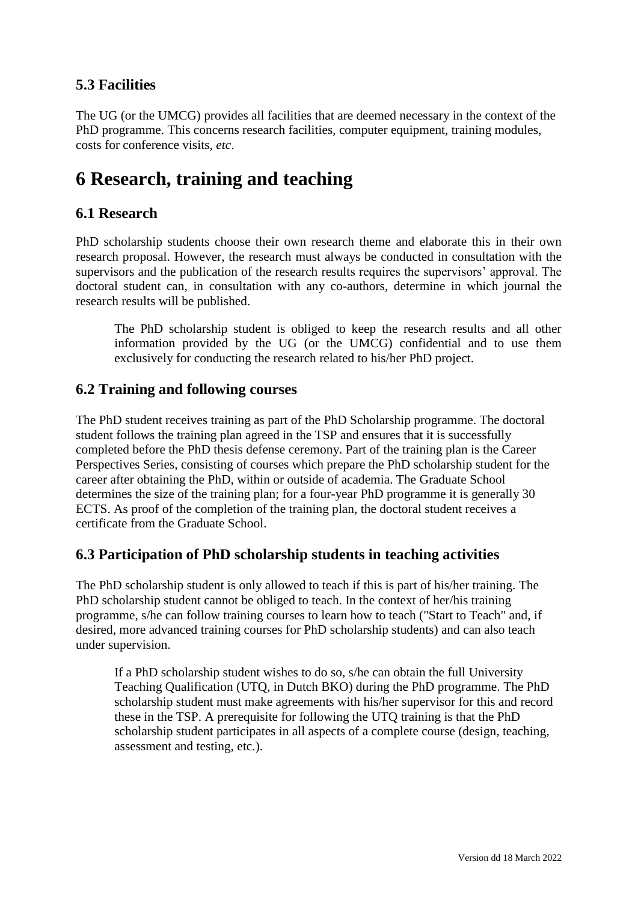## **5.3 Facilities**

The UG (or the UMCG) provides all facilities that are deemed necessary in the context of the PhD programme. This concerns research facilities, computer equipment, training modules, costs for conference visits, *etc*.

# **6 Research, training and teaching**

### **6.1 Research**

PhD scholarship students choose their own research theme and elaborate this in their own research proposal. However, the research must always be conducted in consultation with the supervisors and the publication of the research results requires the supervisors' approval. The doctoral student can, in consultation with any co-authors, determine in which journal the research results will be published.

The PhD scholarship student is obliged to keep the research results and all other information provided by the UG (or the UMCG) confidential and to use them exclusively for conducting the research related to his/her PhD project.

#### **6.2 Training and following courses**

The PhD student receives training as part of the PhD Scholarship programme. The doctoral student follows the training plan agreed in the TSP and ensures that it is successfully completed before the PhD thesis defense ceremony. Part of the training plan is the Career Perspectives Series, consisting of courses which prepare the PhD scholarship student for the career after obtaining the PhD, within or outside of academia. The Graduate School determines the size of the training plan; for a four-year PhD programme it is generally 30 ECTS. As proof of the completion of the training plan, the doctoral student receives a certificate from the Graduate School.

### **6.3 Participation of PhD scholarship students in teaching activities**

The PhD scholarship student is only allowed to teach if this is part of his/her training. The PhD scholarship student cannot be obliged to teach. In the context of her/his training programme, s/he can follow training courses to learn how to teach ("Start to Teach" and, if desired, more advanced training courses for PhD scholarship students) and can also teach under supervision.

If a PhD scholarship student wishes to do so, s/he can obtain the full University Teaching Qualification (UTQ, in Dutch BKO) during the PhD programme. The PhD scholarship student must make agreements with his/her supervisor for this and record these in the TSP. A prerequisite for following the UTQ training is that the PhD scholarship student participates in all aspects of a complete course (design, teaching, assessment and testing, etc.).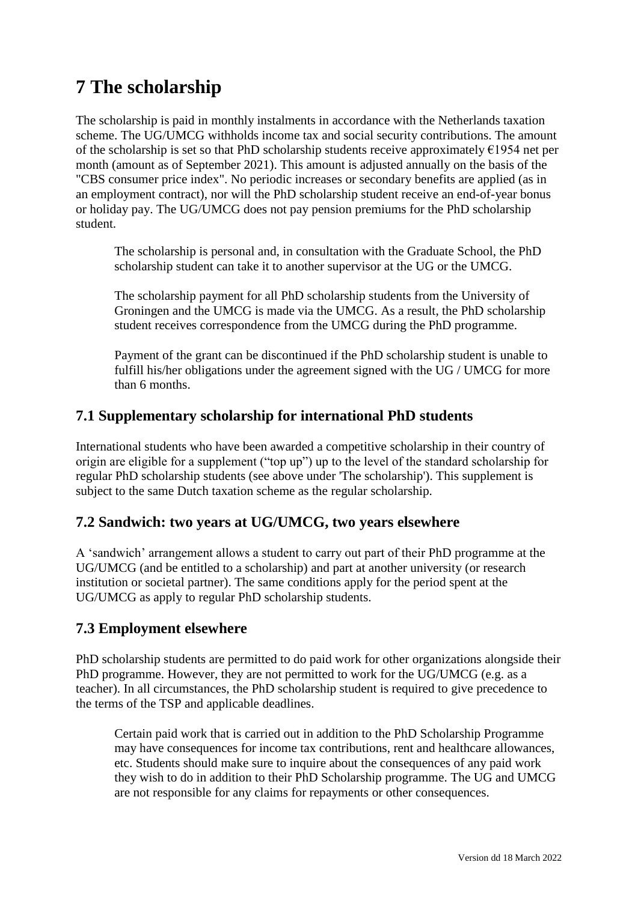# **7 The scholarship**

The scholarship is paid in monthly instalments in accordance with the Netherlands taxation scheme. The UG/UMCG withholds income tax and social security contributions. The amount of the scholarship is set so that PhD scholarship students receive approximately  $\epsilon$ 1954 net per month (amount as of September 2021). This amount is adjusted annually on the basis of the "CBS consumer price index". No periodic increases or secondary benefits are applied (as in an employment contract), nor will the PhD scholarship student receive an end-of-year bonus or holiday pay. The UG/UMCG does not pay pension premiums for the PhD scholarship student.

The scholarship is personal and, in consultation with the Graduate School, the PhD scholarship student can take it to another supervisor at the UG or the UMCG.

The scholarship payment for all PhD scholarship students from the University of Groningen and the UMCG is made via the UMCG. As a result, the PhD scholarship student receives correspondence from the UMCG during the PhD programme.

Payment of the grant can be discontinued if the PhD scholarship student is unable to fulfill his/her obligations under the agreement signed with the UG / UMCG for more than 6 months.

### **7.1 Supplementary scholarship for international PhD students**

International students who have been awarded a competitive scholarship in their country of origin are eligible for a supplement ("top up") up to the level of the standard scholarship for regular PhD scholarship students (see above under 'The scholarship'). This supplement is subject to the same Dutch taxation scheme as the regular scholarship.

### **7.2 Sandwich: two years at UG/UMCG, two years elsewhere**

A 'sandwich' arrangement allows a student to carry out part of their PhD programme at the UG/UMCG (and be entitled to a scholarship) and part at another university (or research institution or societal partner). The same conditions apply for the period spent at the UG/UMCG as apply to regular PhD scholarship students.

#### **7.3 Employment elsewhere**

PhD scholarship students are permitted to do paid work for other organizations alongside their PhD programme. However, they are not permitted to work for the UG/UMCG (e.g. as a teacher). In all circumstances, the PhD scholarship student is required to give precedence to the terms of the TSP and applicable deadlines.

Certain paid work that is carried out in addition to the PhD Scholarship Programme may have consequences for income tax contributions, rent and healthcare allowances, etc. Students should make sure to inquire about the consequences of any paid work they wish to do in addition to their PhD Scholarship programme. The UG and UMCG are not responsible for any claims for repayments or other consequences.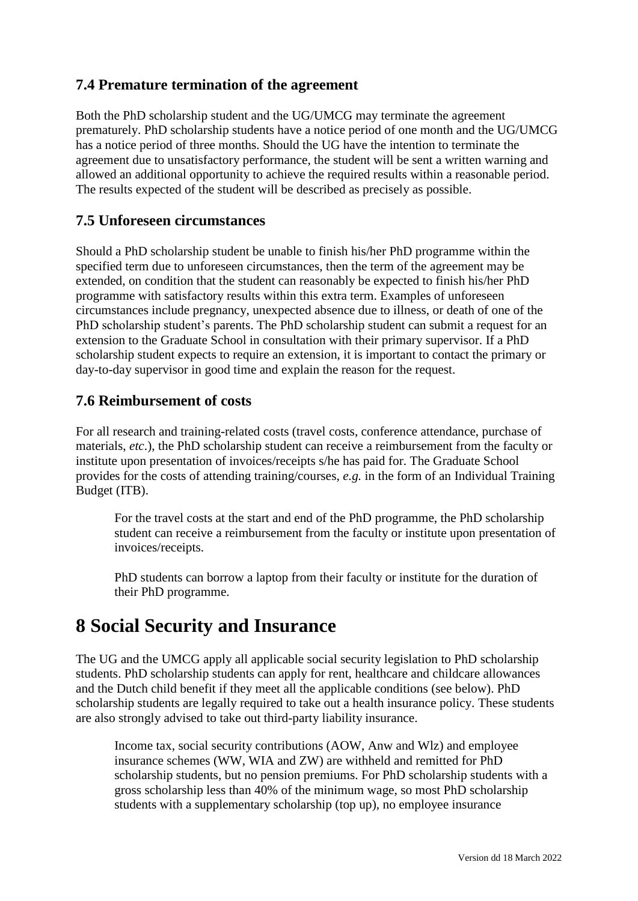### **7.4 Premature termination of the agreement**

Both the PhD scholarship student and the UG/UMCG may terminate the agreement prematurely. PhD scholarship students have a notice period of one month and the UG/UMCG has a notice period of three months. Should the UG have the intention to terminate the agreement due to unsatisfactory performance, the student will be sent a written warning and allowed an additional opportunity to achieve the required results within a reasonable period. The results expected of the student will be described as precisely as possible.

#### **7.5 Unforeseen circumstances**

Should a PhD scholarship student be unable to finish his/her PhD programme within the specified term due to unforeseen circumstances, then the term of the agreement may be extended, on condition that the student can reasonably be expected to finish his/her PhD programme with satisfactory results within this extra term. Examples of unforeseen circumstances include pregnancy, unexpected absence due to illness, or death of one of the PhD scholarship student's parents. The PhD scholarship student can submit a request for an extension to the Graduate School in consultation with their primary supervisor. If a PhD scholarship student expects to require an extension, it is important to contact the primary or day-to-day supervisor in good time and explain the reason for the request.

#### **7.6 Reimbursement of costs**

For all research and training-related costs (travel costs, conference attendance, purchase of materials, *etc*.), the PhD scholarship student can receive a reimbursement from the faculty or institute upon presentation of invoices/receipts s/he has paid for. The Graduate School provides for the costs of attending training/courses, *e.g.* in the form of an Individual Training Budget (ITB).

For the travel costs at the start and end of the PhD programme, the PhD scholarship student can receive a reimbursement from the faculty or institute upon presentation of invoices/receipts.

PhD students can borrow a laptop from their faculty or institute for the duration of their PhD programme.

## **8 Social Security and Insurance**

The UG and the UMCG apply all applicable social security legislation to PhD scholarship students. PhD scholarship students can apply for rent, healthcare and childcare allowances and the Dutch child benefit if they meet all the applicable conditions (see below). PhD scholarship students are legally required to take out a health insurance policy. These students are also strongly advised to take out third-party liability insurance.

Income tax, social security contributions (AOW, Anw and Wlz) and employee insurance schemes (WW, WIA and ZW) are withheld and remitted for PhD scholarship students, but no pension premiums. For PhD scholarship students with a gross scholarship less than 40% of the minimum wage, so most PhD scholarship students with a supplementary scholarship (top up), no employee insurance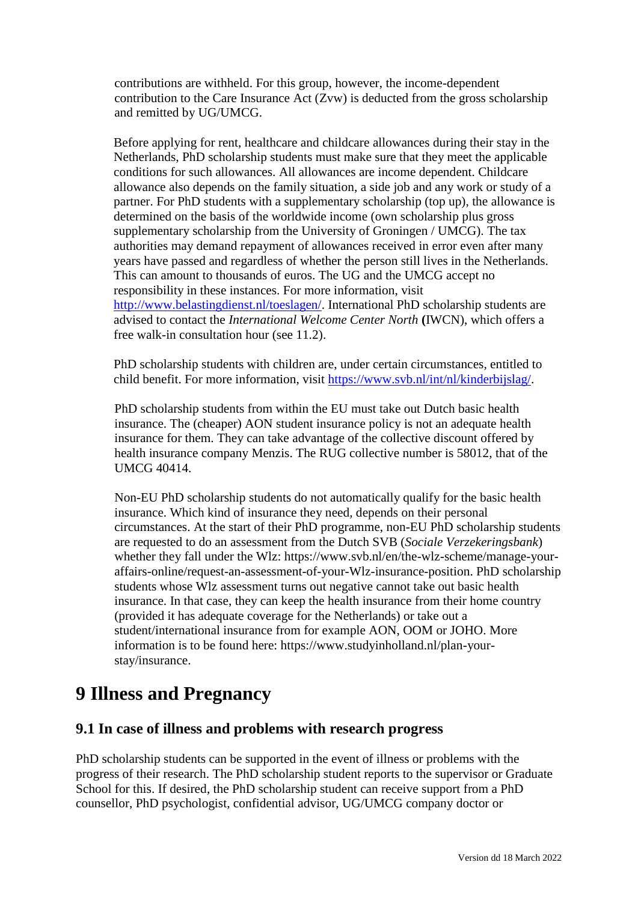contributions are withheld. For this group, however, the income-dependent contribution to the Care Insurance Act (Zvw) is deducted from the gross scholarship and remitted by UG/UMCG.

Before applying for rent, healthcare and childcare allowances during their stay in the Netherlands, PhD scholarship students must make sure that they meet the applicable conditions for such allowances. All allowances are income dependent. Childcare allowance also depends on the family situation, a side job and any work or study of a partner. For PhD students with a supplementary scholarship (top up), the allowance is determined on the basis of the worldwide income (own scholarship plus gross supplementary scholarship from the University of Groningen / UMCG). The tax authorities may demand repayment of allowances received in error even after many years have passed and regardless of whether the person still lives in the Netherlands. This can amount to thousands of euros. The UG and the UMCG accept no responsibility in these instances. For more information, visit [http://www.belastingdienst.nl/toeslagen/.](http://www.belastingdienst.nl/toeslagen/) International PhD scholarship students are advised to contact the *International Welcome Center North* **(**IWCN), which offers a free walk-in consultation hour (see 11.2).

PhD scholarship students with children are, under certain circumstances, entitled to child benefit. For more information, visit [https://www.svb.nl/int/nl/kinderbijslag/.](https://www.svb.nl/int/en/kinderbijslag/index.jsp)

PhD scholarship students from within the EU must take out Dutch basic health insurance. The (cheaper) AON student insurance policy is not an adequate health insurance for them. They can take advantage of the collective discount offered by health insurance company Menzis. The RUG collective number is 58012, that of the UMCG 40414.

Non-EU PhD scholarship students do not automatically qualify for the basic health insurance. Which kind of insurance they need, depends on their personal circumstances. At the start of their PhD programme, non-EU PhD scholarship students are requested to do an assessment from the Dutch SVB (*Sociale Verzekeringsbank*) whether they fall under the Wlz: https://www.svb.nl/en/the-wlz-scheme/manage-youraffairs-online/request-an-assessment-of-your-Wlz-insurance-position. PhD scholarship students whose Wlz assessment turns out negative cannot take out basic health insurance. In that case, they can keep the health insurance from their home country (provided it has adequate coverage for the Netherlands) or take out a student/international insurance from for example AON, OOM or JOHO. More information is to be found here: https://www.studyinholland.nl/plan-yourstay/insurance.

## **9 Illness and Pregnancy**

#### **9.1 In case of illness and problems with research progress**

PhD scholarship students can be supported in the event of illness or problems with the progress of their research. The PhD scholarship student reports to the supervisor or Graduate School for this. If desired, the PhD scholarship student can receive support from a PhD counsellor, PhD psychologist, confidential advisor, UG/UMCG company doctor or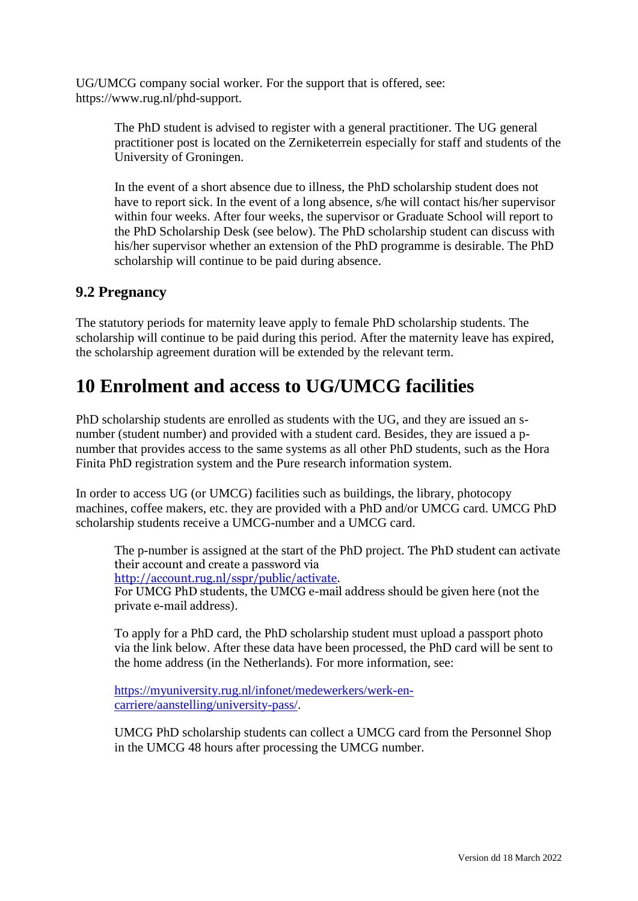UG/UMCG company social worker. For the support that is offered, see: https://www.rug.nl/phd-support.

> The PhD student is advised to register with a general practitioner. The UG general practitioner post is located on the Zerniketerrein especially for staff and students of the University of Groningen.

In the event of a short absence due to illness, the PhD scholarship student does not have to report sick. In the event of a long absence, s/he will contact his/her supervisor within four weeks. After four weeks, the supervisor or Graduate School will report to the PhD Scholarship Desk (see below). The PhD scholarship student can discuss with his/her supervisor whether an extension of the PhD programme is desirable. The PhD scholarship will continue to be paid during absence.

#### **9.2 Pregnancy**

The statutory periods for maternity leave apply to female PhD scholarship students. The scholarship will continue to be paid during this period. After the maternity leave has expired, the scholarship agreement duration will be extended by the relevant term.

## **10 Enrolment and access to UG/UMCG facilities**

PhD scholarship students are enrolled as students with the UG, and they are issued an snumber (student number) and provided with a student card. Besides, they are issued a pnumber that provides access to the same systems as all other PhD students, such as the Hora Finita PhD registration system and the Pure research information system.

In order to access UG (or UMCG) facilities such as buildings, the library, photocopy machines, coffee makers, etc. they are provided with a PhD and/or UMCG card. UMCG PhD scholarship students receive a UMCG-number and a UMCG card.

The p-number is assigned at the start of the PhD project. The PhD student can activate their account and create a password via [http://account.rug.nl/sspr/public/activate.](http://account.rug.nl/sspr/public/activate)

For UMCG PhD students, the UMCG e-mail address should be given here (not the private e-mail address).

To apply for a PhD card, the PhD scholarship student must upload a passport photo via the link below. After these data have been processed, the PhD card will be sent to the home address (in the Netherlands). For more information, see:

[https://myuniversity.rug.nl/infonet/medewerkers/werk-en](https://myuniversity.rug.nl/infonet/medewerkers/werk-en-carriere/aanstelling/university-pass/)[carriere/aanstelling/university-pass/.](https://myuniversity.rug.nl/infonet/medewerkers/werk-en-carriere/aanstelling/university-pass/)

UMCG PhD scholarship students can collect a UMCG card from the Personnel Shop in the UMCG 48 hours after processing the UMCG number.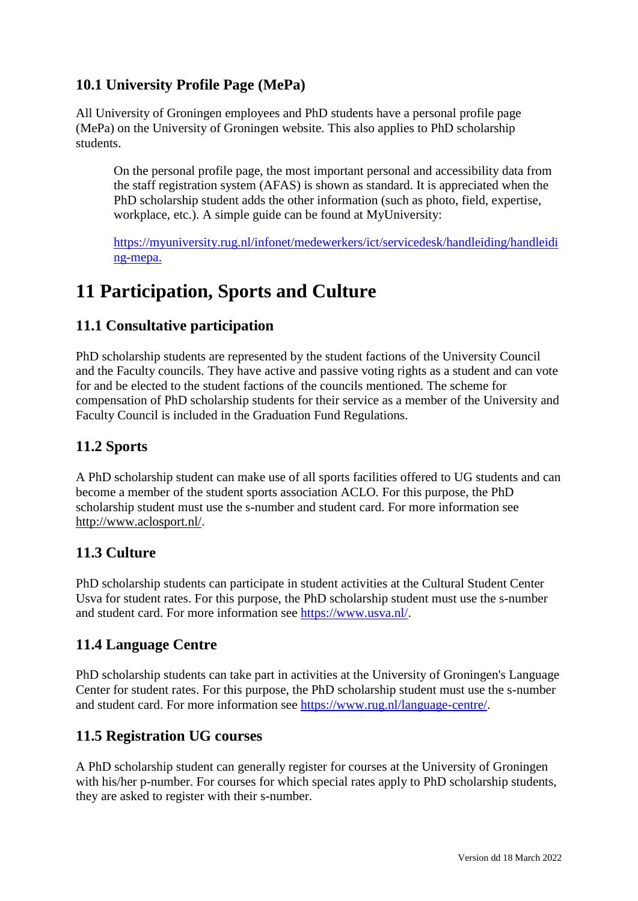## **10.1 University Profile Page (MePa)**

All University of Groningen employees and PhD students have a personal profile page (MePa) on the University of Groningen website. This also applies to PhD scholarship students.

On the personal profile page, the most important personal and accessibility data from the staff registration system (AFAS) is shown as standard. It is appreciated when the PhD scholarship student adds the other information (such as photo, field, expertise, workplace, etc.). A simple guide can be found at MyUniversity:

[https://myuniversity.rug.nl/infonet/medewerkers/ict/servicedesk/handleiding/handleidi](https://myuniversity.rug.nl/infonet/medewerkers/ict/servicedesk/handleiding/handleiding-mepa) [ng-mepa.](https://myuniversity.rug.nl/infonet/medewerkers/ict/servicedesk/handleiding/handleiding-mepa)

# **11 Participation, Sports and Culture**

## **11.1 Consultative participation**

PhD scholarship students are represented by the student factions of the University Council and the Faculty councils. They have active and passive voting rights as a student and can vote for and be elected to the student factions of the councils mentioned. The scheme for compensation of PhD scholarship students for their service as a member of the University and Faculty Council is included in the Graduation Fund Regulations.

## **11.2 Sports**

A PhD scholarship student can make use of all sports facilities offered to UG students and can become a member of the student sports association ACLO. For this purpose, the PhD scholarship student must use the s-number and student card. For more information see [http://www.aclosport.nl/.](http://www.aclosport.nl/)

### **11.3 Culture**

PhD scholarship students can participate in student activities at the Cultural Student Center Usva for student rates. For this purpose, the PhD scholarship student must use the s-number and student card. For more information see [https://www.usva.nl/.](https://www.usva.nl/)

### **11.4 Language Centre**

PhD scholarship students can take part in activities at the University of Groningen's Language Center for student rates. For this purpose, the PhD scholarship student must use the s-number and student card. For more information see [https://www.rug.nl/language-centre/.](https://www.rug.nl/language-centre/)

### **11.5 Registration UG courses**

A PhD scholarship student can generally register for courses at the University of Groningen with his/her p-number. For courses for which special rates apply to PhD scholarship students, they are asked to register with their s-number.